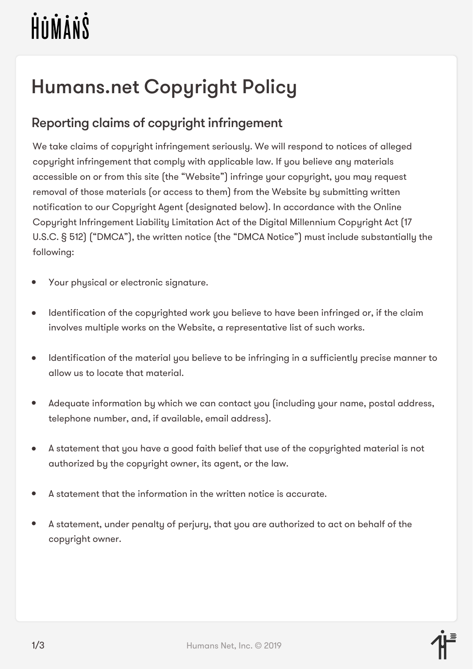# HUMANS

# Humans.net Copyright Policy

## Reporting claims of copyright infringement

We take claims of copyright infringement seriously. We will respond to notices of alleged copyright infringement that comply with applicable law. If you believe any materials accessible on or from this site (the "Website") infringe your copyright, you may request removal of those materials (or access to them) from the Website by submitting written notification to our Copyright Agent (designated below). In accordance with the Online Copyright Infringement Liability Limitation Act of the Digital Millennium Copyright Act (17 U.S.C. § 512) ("DMCA"), the written notice (the "DMCA Notice") must include substantially the following:

- Your physical or electronic signature.
- Identification of the copyrighted work you believe to have been infringed or, if the claim  $\bullet$ involves multiple works on the Website, a representative list of such works.
- Identification of the material you believe to be infringing in a sufficiently precise manner to  $\bullet$ allow us to locate that material.
- Adequate information by which we can contact you (including your name, postal address,  $\bullet$ telephone number, and, if available, email address).
- A statement that you have a good faith belief that use of the copyrighted material is not authorized by the copyright owner, its agent, or the law.
- A statement that the information in the written notice is accurate.
- $\bullet$ A statement, under penalty of perjury, that you are authorized to act on behalf of the copyright owner.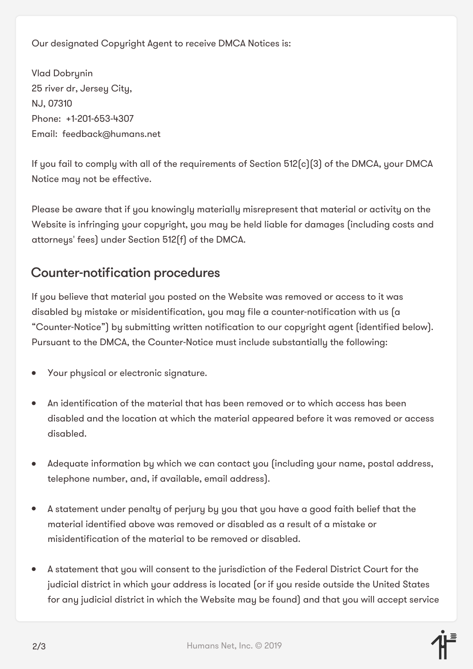Our designated Copyright Agent to receive DMCA Notices is:

Vlad Dobrynin 25 river dr, Jersey City, NJ, 07310 Phone: +1-201-653-4307 Email: feedback@humans.net

If you fail to comply with all of the requirements of Section 512(c)(3) of the DMCA, your DMCA Notice may not be effective.

Please be aware that if you knowingly materially misrepresent that material or activity on the Website is infringing your copyright, you may be held liable for damages (including costs and attorneys' fees) under Section 512(f) of the DMCA.

### Counter-notification procedures

If you believe that material you posted on the Website was removed or access to it was disabled by mistake or misidentification, you may file a counter-notification with us (a "Counter-Notice") by submitting written notification to our copyright agent (identified below). Pursuant to the DMCA, the Counter-Notice must include substantially the following:

- Your physical or electronic signature.
- An identification of the material that has been removed or to which access has been  $\bullet$ disabled and the location at which the material appeared before it was removed or access disabled.
- Adequate information by which we can contact you (including your name, postal address, telephone number, and, if available, email address).
- A statement under penalty of perjury by you that you have a good faith belief that the  $\bullet$ material identified above was removed or disabled as a result of a mistake or misidentification of the material to be removed or disabled.
- A statement that you will consent to the jurisdiction of the Federal District Court for the  $\bullet$ judicial district in which your address is located (or if you reside outside the United States for any judicial district in which the Website may be found) and that you will accept service